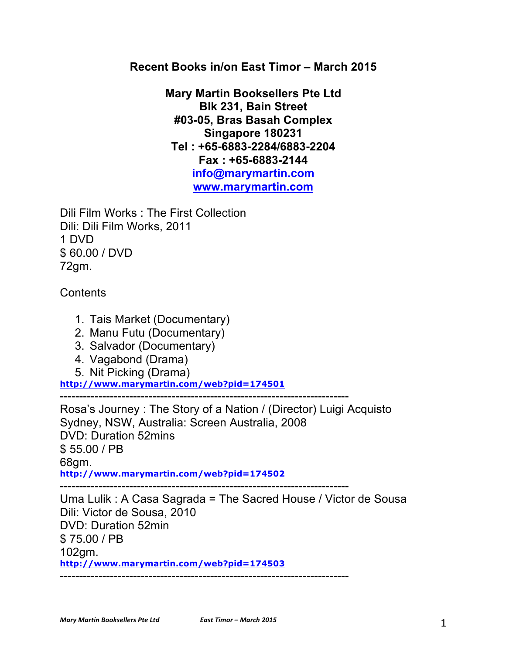## **Recent Books in/on East Timor – March 2015**

**Mary Martin Booksellers Pte Ltd Blk 231, Bain Street #03-05, Bras Basah Complex Singapore 180231 Tel : +65-6883-2284/6883-2204 Fax : +65-6883-2144 info@marymartin.com www.marymartin.com**

Dili Film Works : The First Collection Dili: Dili Film Works, 2011 1 DVD \$ 60.00 / DVD 72gm.

**Contents** 

- 1. Tais Market (Documentary)
- 2. Manu Futu (Documentary)
- 3. Salvador (Documentary)
- 4. Vagabond (Drama)
- 5. Nit Picking (Drama)

**http://www.marymartin.com/web?pid=174501**

---------------------------------------------------------------------------

Rosa's Journey : The Story of a Nation / (Director) Luigi Acquisto Sydney, NSW, Australia: Screen Australia, 2008 DVD: Duration 52mins \$ 55.00 / PB 68gm. **http://www.marymartin.com/web?pid=174502** ---------------------------------------------------------------------------

Uma Lulik : A Casa Sagrada = The Sacred House / Victor de Sousa Dili: Victor de Sousa, 2010 DVD: Duration 52min \$ 75.00 / PB 102gm. **http://www.marymartin.com/web?pid=174503** ---------------------------------------------------------------------------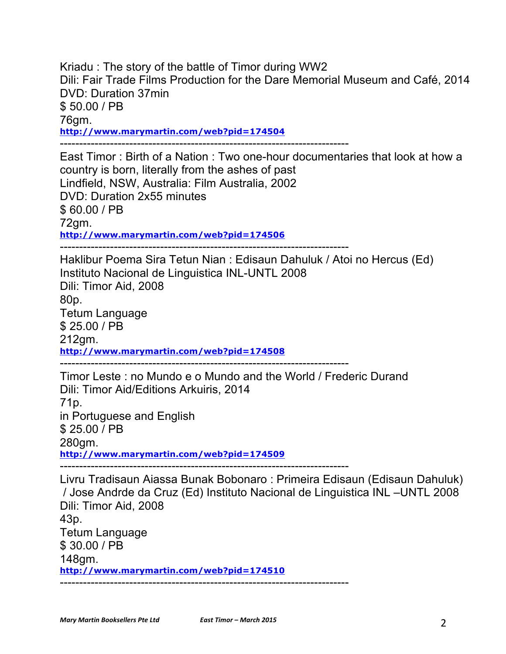Kriadu : The story of the battle of Timor during WW2 Dili: Fair Trade Films Production for the Dare Memorial Museum and Café, 2014 DVD: Duration 37min \$ 50.00 / PB 76gm. **http://www.marymartin.com/web?pid=174504** ---------------------------------------------------------------------------

East Timor : Birth of a Nation : Two one-hour documentaries that look at how a country is born, literally from the ashes of past Lindfield, NSW, Australia: Film Australia, 2002 DVD: Duration 2x55 minutes \$ 60.00 / PB 72gm. **http://www.marymartin.com/web?pid=174506**

Haklibur Poema Sira Tetun Nian : Edisaun Dahuluk / Atoi no Hercus (Ed) Instituto Nacional de Linguistica INL-UNTL 2008 Dili: Timor Aid, 2008 80p. Tetum Language \$ 25.00 / PB 212gm. **http://www.marymartin.com/web?pid=174508**

Timor Leste : no Mundo e o Mundo and the World / Frederic Durand Dili: Timor Aid/Editions Arkuiris, 2014 71p. in Portuguese and English \$ 25.00 / PB 280gm. **http://www.marymartin.com/web?pid=174509** ---------------------------------------------------------------------------

Livru Tradisaun Aiassa Bunak Bobonaro : Primeira Edisaun (Edisaun Dahuluk) / Jose Andrde da Cruz (Ed) Instituto Nacional de Linguistica INL –UNTL 2008 Dili: Timor Aid, 2008 43p. Tetum Language \$ 30.00 / PB 148gm. **http://www.marymartin.com/web?pid=174510** ---------------------------------------------------------------------------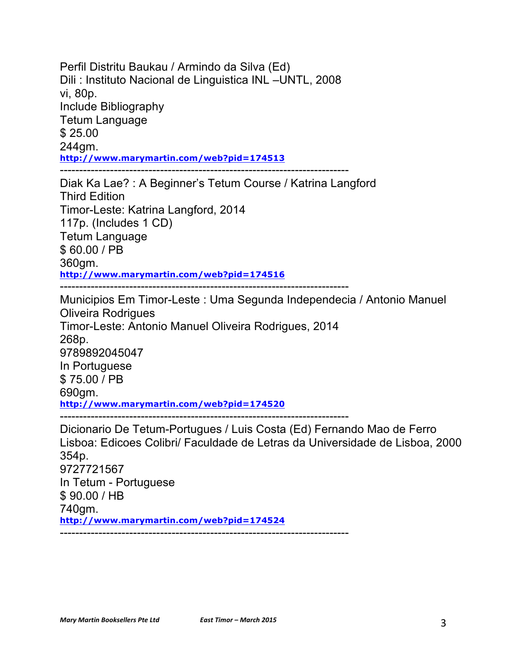Perfil Distritu Baukau / Armindo da Silva (Ed) Dili : Instituto Nacional de Linguistica INL –UNTL, 2008 vi, 80p. Include Bibliography Tetum Language \$ 25.00 244gm. **http://www.marymartin.com/web?pid=174513** ---------------------------------------------------------------------------

Diak Ka Lae? : A Beginner's Tetum Course / Katrina Langford Third Edition Timor-Leste: Katrina Langford, 2014 117p. (Includes 1 CD) Tetum Language \$ 60.00 / PB 360gm. **http://www.marymartin.com/web?pid=174516** ---------------------------------------------------------------------------

Municipios Em Timor-Leste : Uma Segunda Independecia / Antonio Manuel Oliveira Rodrigues Timor-Leste: Antonio Manuel Oliveira Rodrigues, 2014 268p. 9789892045047 In Portuguese \$ 75.00 / PB 690gm. **http://www.marymartin.com/web?pid=174520** ---------------------------------------------------------------------------

Dicionario De Tetum-Portugues / Luis Costa (Ed) Fernando Mao de Ferro Lisboa: Edicoes Colibri/ Faculdade de Letras da Universidade de Lisboa, 2000 354p. 9727721567 In Tetum - Portuguese \$ 90.00 / HB 740gm. **http://www.marymartin.com/web?pid=174524** ---------------------------------------------------------------------------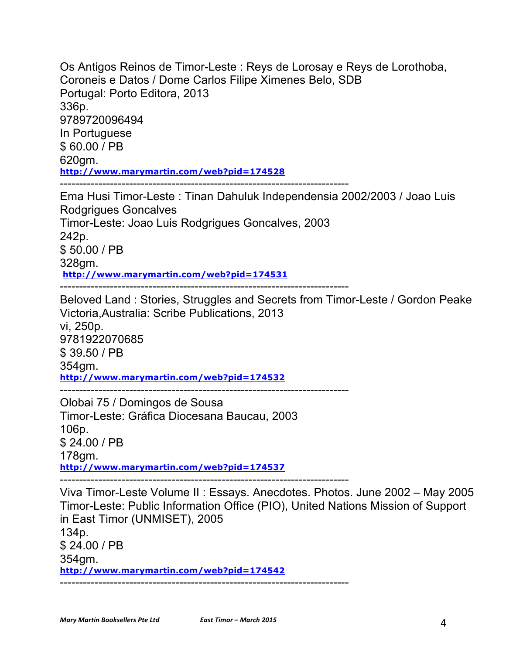Os Antigos Reinos de Timor-Leste : Reys de Lorosay e Reys de Lorothoba, Coroneis e Datos / Dome Carlos Filipe Ximenes Belo, SDB Portugal: Porto Editora, 2013 336p. 9789720096494 In Portuguese \$ 60.00 / PB 620gm. **http://www.marymartin.com/web?pid=174528** ---------------------------------------------------------------------------

Ema Husi Timor-Leste : Tinan Dahuluk Independensia 2002/2003 / Joao Luis Rodgrigues Goncalves Timor-Leste: Joao Luis Rodgrigues Goncalves, 2003 242p. \$ 50.00 / PB 328gm. **http://www.marymartin.com/web?pid=174531** ---------------------------------------------------------------------------

Beloved Land : Stories, Struggles and Secrets from Timor-Leste / Gordon Peake Victoria,Australia: Scribe Publications, 2013 vi, 250p. 9781922070685 \$ 39.50 / PB 354gm. **http://www.marymartin.com/web?pid=174532** ---------------------------------------------------------------------------

Olobai 75 / Domingos de Sousa Timor-Leste: Gráfica Diocesana Baucau, 2003 106p. \$ 24.00 / PB 178gm. **http://www.marymartin.com/web?pid=174537**

---------------------------------------------------------------------------

Viva Timor-Leste Volume II : Essays. Anecdotes. Photos. June 2002 – May 2005 Timor-Leste: Public Information Office (PIO), United Nations Mission of Support in East Timor (UNMISET), 2005 134p. \$ 24.00 / PB 354gm. **http://www.marymartin.com/web?pid=174542** ---------------------------------------------------------------------------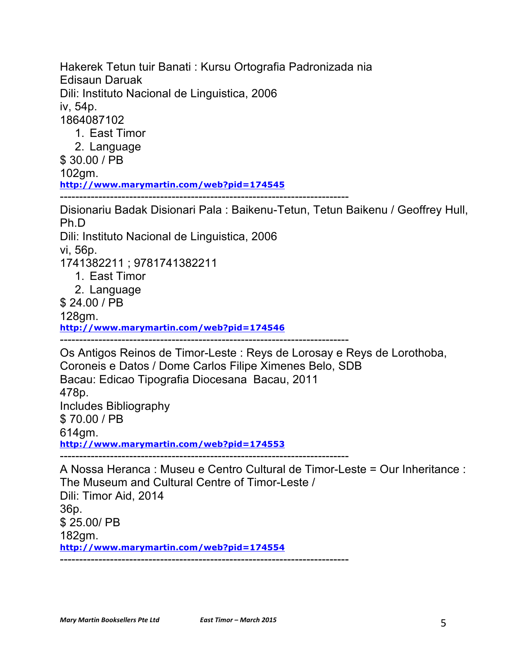Hakerek Tetun tuir Banati : Kursu Ortografia Padronizada nia Edisaun Daruak Dili: Instituto Nacional de Linguistica, 2006 iv, 54p. 1864087102 1. East Timor

2. Language

\$ 30.00 / PB

102gm.

**http://www.marymartin.com/web?pid=174545**

---------------------------------------------------------------------------

Disionariu Badak Disionari Pala : Baikenu-Tetun, Tetun Baikenu / Geoffrey Hull, Ph.D

Dili: Instituto Nacional de Linguistica, 2006

vi, 56p.

1741382211 ; 9781741382211

- 1. East Timor
- 2. Language

\$ 24.00 / PB

128gm.

**http://www.marymartin.com/web?pid=174546**

---------------------------------------------------------------------------

Os Antigos Reinos de Timor-Leste : Reys de Lorosay e Reys de Lorothoba, Coroneis e Datos / Dome Carlos Filipe Ximenes Belo, SDB Bacau: Edicao Tipografia Diocesana Bacau, 2011 478p. Includes Bibliography \$ 70.00 / PB 614gm. **http://www.marymartin.com/web?pid=174553** ---------------------------------------------------------------------------

A Nossa Heranca : Museu e Centro Cultural de Timor-Leste = Our Inheritance : The Museum and Cultural Centre of Timor-Leste / Dili: Timor Aid, 2014 36p. \$ 25.00/ PB 182gm. **http://www.marymartin.com/web?pid=174554** ---------------------------------------------------------------------------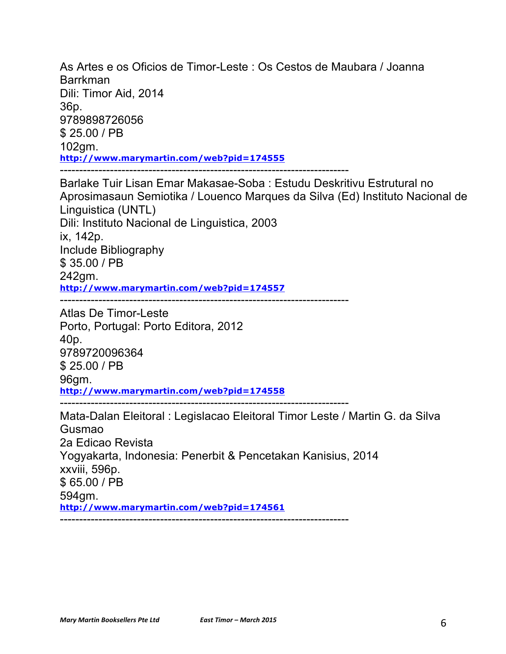As Artes e os Oficios de Timor-Leste : Os Cestos de Maubara / Joanna Barrkman Dili: Timor Aid, 2014 36p. 9789898726056 \$ 25.00 / PB 102gm. **http://www.marymartin.com/web?pid=174555** ---------------------------------------------------------------------------

Barlake Tuir Lisan Emar Makasae-Soba : Estudu Deskritivu Estrutural no Aprosimasaun Semiotika / Louenco Marques da Silva (Ed) Instituto Nacional de Linguistica (UNTL) Dili: Instituto Nacional de Linguistica, 2003 ix, 142p. Include Bibliography \$ 35.00 / PB 242gm. **http://www.marymartin.com/web?pid=174557**

 $-$ 

Atlas De Timor-Leste Porto, Portugal: Porto Editora, 2012 40p. 9789720096364 \$ 25.00 / PB 96gm. **http://www.marymartin.com/web?pid=174558** ---------------------------------------------------------------------------

Mata-Dalan Eleitoral : Legislacao Eleitoral Timor Leste / Martin G. da Silva Gusmao 2a Edicao Revista Yogyakarta, Indonesia: Penerbit & Pencetakan Kanisius, 2014 xxviii, 596p. \$ 65.00 / PB 594gm. **http://www.marymartin.com/web?pid=174561** ---------------------------------------------------------------------------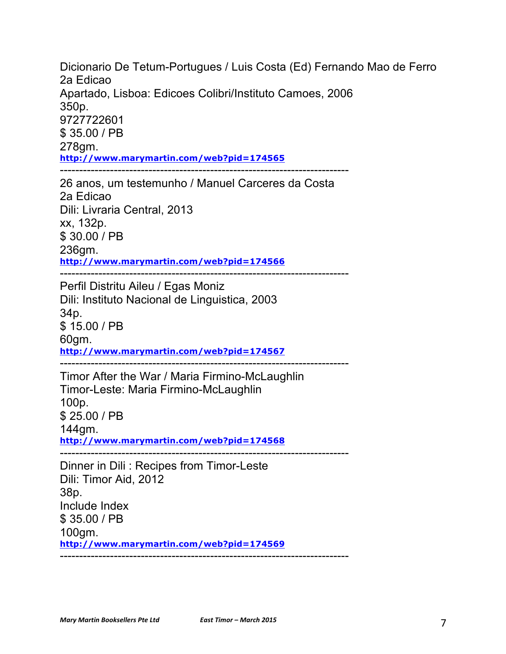Dicionario De Tetum-Portugues / Luis Costa (Ed) Fernando Mao de Ferro 2a Edicao Apartado, Lisboa: Edicoes Colibri/Instituto Camoes, 2006 350p. 9727722601 \$ 35.00 / PB 278gm. **http://www.marymartin.com/web?pid=174565** --------------------------------------------------------------------------- 26 anos, um testemunho / Manuel Carceres da Costa 2a Edicao Dili: Livraria Central, 2013 xx, 132p. \$ 30.00 / PB 236gm. **http://www.marymartin.com/web?pid=174566** --------------------------------------------------------------------------- Perfil Distritu Aileu / Egas Moniz Dili: Instituto Nacional de Linguistica, 2003 34p. \$ 15.00 / PB 60gm. **http://www.marymartin.com/web?pid=174567** --------------------------------------------------------------------------- Timor After the War / Maria Firmino-McLaughlin Timor-Leste: Maria Firmino-McLaughlin 100p. \$ 25.00 / PB 144gm. **http://www.marymartin.com/web?pid=174568**  $-$ Dinner in Dili : Recipes from Timor-Leste Dili: Timor Aid, 2012 38p. Include Index \$ 35.00 / PB 100gm. **http://www.marymartin.com/web?pid=174569**

---------------------------------------------------------------------------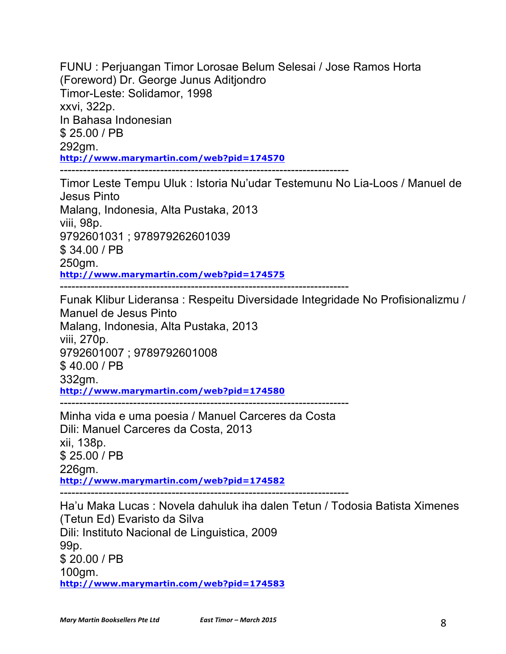FUNU : Perjuangan Timor Lorosae Belum Selesai / Jose Ramos Horta (Foreword) Dr. George Junus Aditjondro Timor-Leste: Solidamor, 1998 xxvi, 322p. In Bahasa Indonesian \$ 25.00 / PB 292gm. **http://www.marymartin.com/web?pid=174570** ---------------------------------------------------------------------------

Timor Leste Tempu Uluk : Istoria Nu'udar Testemunu No Lia-Loos / Manuel de Jesus Pinto Malang, Indonesia, Alta Pustaka, 2013 viii, 98p. 9792601031 ; 978979262601039 \$ 34.00 / PB 250gm. **http://www.marymartin.com/web?pid=174575** ---------------------------------------------------------------------------

Funak Klibur Lideransa : Respeitu Diversidade Integridade No Profisionalizmu / Manuel de Jesus Pinto Malang, Indonesia, Alta Pustaka, 2013 viii, 270p. 9792601007 ; 9789792601008 \$ 40.00 / PB 332gm. **http://www.marymartin.com/web?pid=174580** ---------------------------------------------------------------------------

Minha vida e uma poesia / Manuel Carceres da Costa Dili: Manuel Carceres da Costa, 2013 xii, 138p. \$ 25.00 / PB 226gm. **http://www.marymartin.com/web?pid=174582** ---------------------------------------------------------------------------

Ha'u Maka Lucas : Novela dahuluk iha dalen Tetun / Todosia Batista Ximenes (Tetun Ed) Evaristo da Silva Dili: Instituto Nacional de Linguistica, 2009 99p. \$ 20.00 / PB 100gm. **http://www.marymartin.com/web?pid=174583**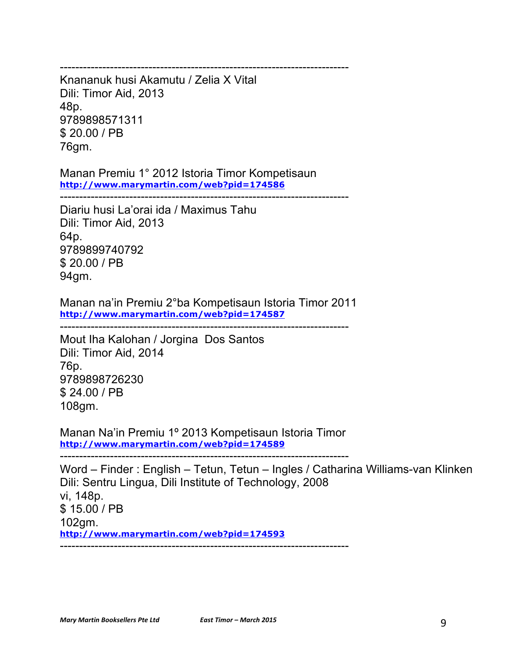Knananuk husi Akamutu / Zelia X Vital Dili: Timor Aid, 2013 48p. 9789898571311 \$ 20.00 / PB 76gm.

Manan Premiu 1° 2012 Istoria Timor Kompetisaun **http://www.marymartin.com/web?pid=174586**

---------------------------------------------------------------------------

---------------------------------------------------------------------------

Diariu husi La'orai ida / Maximus Tahu Dili: Timor Aid, 2013 64p. 9789899740792 \$ 20.00 / PB 94gm.

Manan na'in Premiu 2°ba Kompetisaun Istoria Timor 2011 **http://www.marymartin.com/web?pid=174587**

---------------------------------------------------------------------------

Mout Iha Kalohan / Jorgina Dos Santos Dili: Timor Aid, 2014 76p. 9789898726230 \$ 24.00 / PB 108gm.

Manan Na'in Premiu 1º 2013 Kompetisaun Istoria Timor **http://www.marymartin.com/web?pid=174589**

---------------------------------------------------------------------------

Word – Finder : English – Tetun, Tetun – Ingles / Catharina Williams-van Klinken Dili: Sentru Lingua, Dili Institute of Technology, 2008 vi, 148p. \$ 15.00 / PB 102gm. **http://www.marymartin.com/web?pid=174593** ---------------------------------------------------------------------------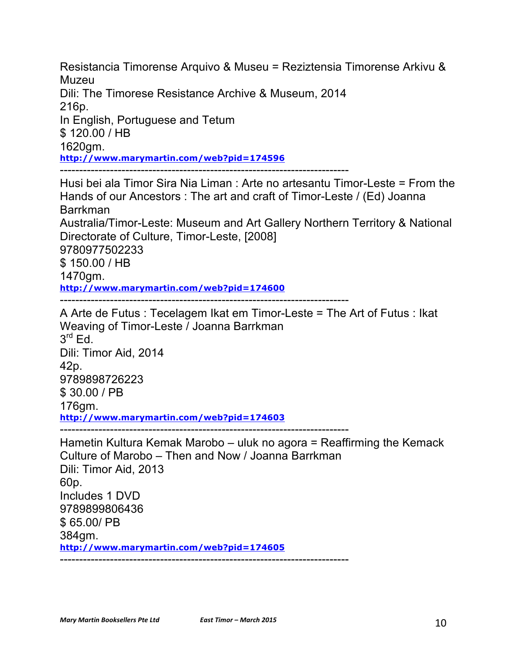Resistancia Timorense Arquivo & Museu = Reziztensia Timorense Arkivu & Muzeu Dili: The Timorese Resistance Archive & Museum, 2014 216p. In English, Portuguese and Tetum \$ 120.00 / HB 1620gm. **http://www.marymartin.com/web?pid=174596** ---------------------------------------------------------------------------

Husi bei ala Timor Sira Nia Liman : Arte no artesantu Timor-Leste = From the Hands of our Ancestors : The art and craft of Timor-Leste / (Ed) Joanna Barrkman Australia/Timor-Leste: Museum and Art Gallery Northern Territory & National Directorate of Culture, Timor-Leste, [2008] 9780977502233 \$ 150.00 / HB 1470gm. **http://www.marymartin.com/web?pid=174600**

---------------------------------------------------------------------------

A Arte de Futus : Tecelagem Ikat em Timor-Leste = The Art of Futus : Ikat Weaving of Timor-Leste / Joanna Barrkman  $3<sup>rd</sup>$  Ed. Dili: Timor Aid, 2014 42p. 9789898726223 \$ 30.00 / PB 176gm. **http://www.marymartin.com/web?pid=174603** ---------------------------------------------------------------------------

Hametin Kultura Kemak Marobo – uluk no agora = Reaffirming the Kemack Culture of Marobo – Then and Now / Joanna Barrkman Dili: Timor Aid, 2013 60p. Includes 1 DVD 9789899806436 \$ 65.00/ PB 384gm. **http://www.marymartin.com/web?pid=174605** ---------------------------------------------------------------------------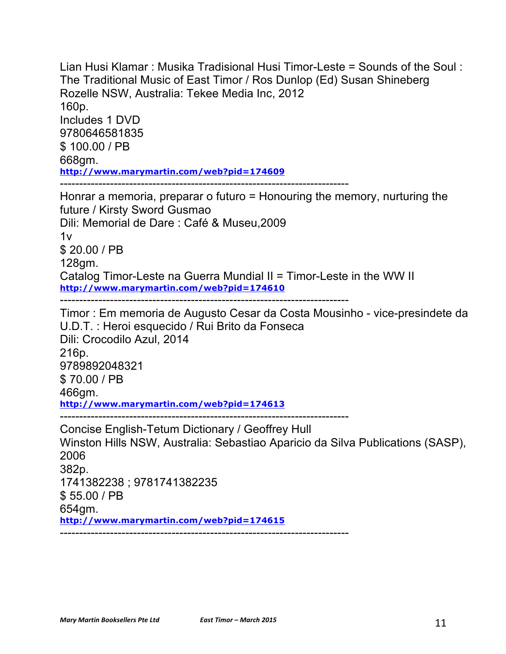Lian Husi Klamar : Musika Tradisional Husi Timor-Leste = Sounds of the Soul : The Traditional Music of East Timor / Ros Dunlop (Ed) Susan Shineberg Rozelle NSW, Australia: Tekee Media Inc, 2012 160p. Includes 1 DVD 9780646581835 \$ 100.00 / PB 668gm. **http://www.marymartin.com/web?pid=174609** ---------------------------------------------------------------------------

Honrar a memoria, preparar o futuro = Honouring the memory, nurturing the future / Kirsty Sword Gusmao Dili: Memorial de Dare : Café & Museu,2009  $1v$ \$ 20.00 / PB 128gm. Catalog Timor-Leste na Guerra Mundial II = Timor-Leste in the WW II **http://www.marymartin.com/web?pid=174610**

---------------------------------------------------------------------------

Timor : Em memoria de Augusto Cesar da Costa Mousinho - vice-presindete da U.D.T. : Heroi esquecido / Rui Brito da Fonseca Dili: Crocodilo Azul, 2014 216p. 9789892048321 \$ 70.00 / PB 466gm. **http://www.marymartin.com/web?pid=174613**

Concise English-Tetum Dictionary / Geoffrey Hull Winston Hills NSW, Australia: Sebastiao Aparicio da Silva Publications (SASP), 2006 382p. 1741382238 ; 9781741382235 \$ 55.00 / PB 654gm. **http://www.marymartin.com/web?pid=174615** ---------------------------------------------------------------------------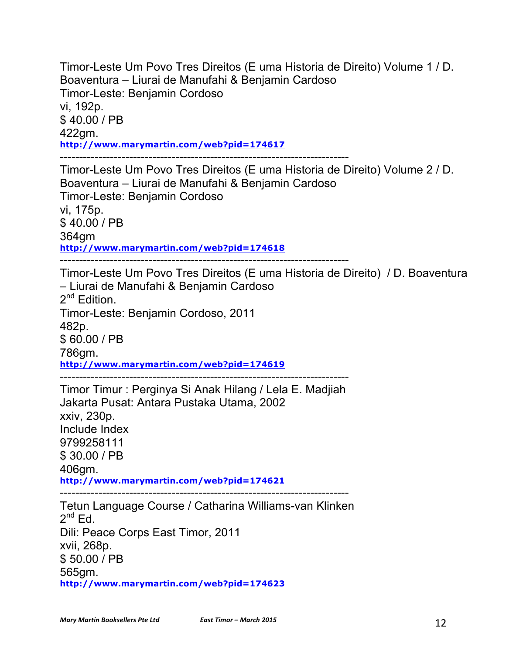Timor-Leste Um Povo Tres Direitos (E uma Historia de Direito) Volume 1 / D. Boaventura – Liurai de Manufahi & Benjamin Cardoso Timor-Leste: Benjamin Cordoso vi, 192p. \$ 40.00 / PB 422gm. **http://www.marymartin.com/web?pid=174617** ---------------------------------------------------------------------------

Timor-Leste Um Povo Tres Direitos (E uma Historia de Direito) Volume 2 / D. Boaventura – Liurai de Manufahi & Benjamin Cardoso Timor-Leste: Benjamin Cordoso vi, 175p. \$ 40.00 / PB 364gm **http://www.marymartin.com/web?pid=174618**

---------------------------------------------------------------------------

Timor-Leste Um Povo Tres Direitos (E uma Historia de Direito) / D. Boaventura – Liurai de Manufahi & Benjamin Cardoso  $2^{nd}$  Edition.

Timor-Leste: Benjamin Cordoso, 2011 482p. \$ 60.00 / PB 786gm.

**http://www.marymartin.com/web?pid=174619**

---------------------------------------------------------------------------

Timor Timur : Perginya Si Anak Hilang / Lela E. Madjiah Jakarta Pusat: Antara Pustaka Utama, 2002 xxiv, 230p. Include Index 9799258111 \$ 30.00 / PB 406gm. **http://www.marymartin.com/web?pid=174621**

---------------------------------------------------------------------------

Tetun Language Course / Catharina Williams-van Klinken  $2^{nd}$  Ed. Dili: Peace Corps East Timor, 2011 xvii, 268p. \$ 50.00 / PB 565gm. **http://www.marymartin.com/web?pid=174623**